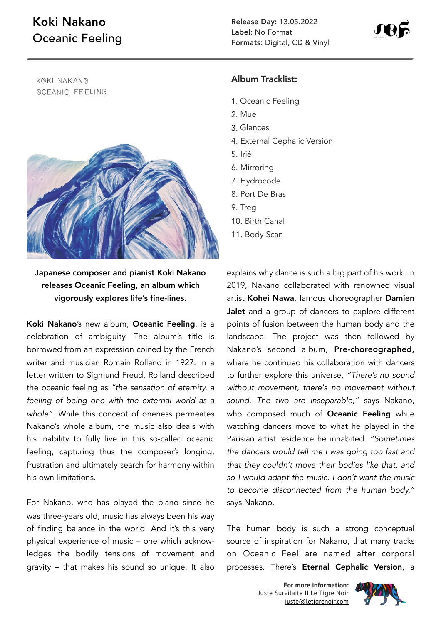## Koki Nakano Oceanic Feeling

KOKI NAKANO *<u>OCEANIC FEELING</u>* 



Japanese composer and pianist Koki Nakano releases Oceanic Feeling, an album which vigorously explores life's fine-lines.

Koki Nakano's new album, Oceanic Feeling, is a celebration of ambiguity. The album's title is borrowed from an expression coined by the French writer and musician Romain Rolland in 1927. In a letter written to Sigmund Freud, Rolland described the oceanic feeling as *"the sensation of eternity, a feeling of being one with the external world as a whole".* While this concept of oneness permeates Nakano's whole album, the music also deals with his inability to fully live in this so-called oceanic feeling, capturing thus the composer's longing, frustration and ultimately search for harmony within his own limitations.

For Nakano, who has played the piano since he was three-years old, music has always been his way of finding balance in the world. And it's this very physical experience of music – one which acknowledges the bodily tensions of movement and gravity – that makes his sound so unique. It also

## Album Tracklist:

- 1. Oceanic Feeling
- 2. Mue
- 3. Glances
- 4. External Cephalic Version
- 5. Irié
- 6. Mirroring
- 7. Hydrocode
- 8. Port De Bras
- 9. Treg
- 10. Birth Canal
- 11. Body Scan

explains why dance is such a big part of his work. In 2019, Nakano collaborated with renowned visual artist Kohei Nawa, famous choreographer Damien Jalet and a group of dancers to explore different points of fusion between the human body and the landscape. The project was then followed by Nakano's second album, Pre-choreographed, where he continued his collaboration with dancers to further explore this universe, *"There's no sound without movement, there's no movement without sound. The two are inseparable,"* says Nakano, who composed much of Oceanic Feeling while watching dancers move to what he played in the Parisian artist residence he inhabited. *"Sometimes the dancers would tell me I was going too fast and that they couldn't move their bodies like that, and so I would adapt the music. I don't want the music to become disconnected from the human body,"* says Nakano.

The human body is such a strong conceptual source of inspiration for Nakano, that many tracks on Oceanic Feel are named after corporal processes. There's Eternal Cephalic Version, a

> **For more information:** Justė Survilaitė II Le Tigre Noir [juste@letigrenoir.com](mailto:juste@letigrenoir.com)